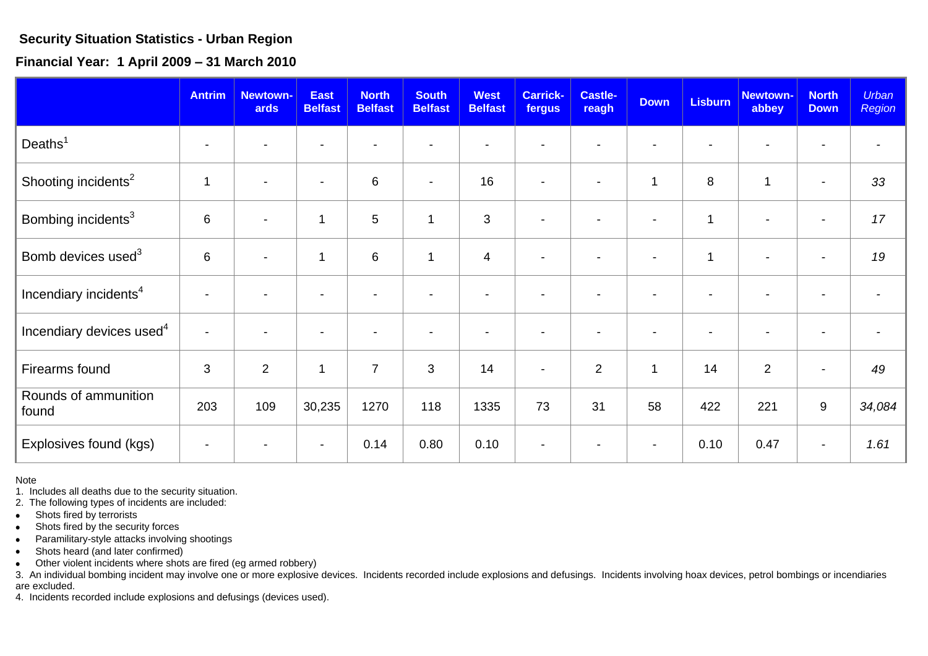## **Security Situation Statistics - Urban Region**

**Financial Year: 1 April 2009 – 31 March 2010** 

|                                      | <b>Antrim</b>            | <b>Newtown-</b><br>ards  | <b>East</b><br><b>Belfast</b> | <b>North</b><br><b>Belfast</b> | <b>South</b><br><b>Belfast</b> | <b>West</b><br><b>Belfast</b> | <b>Carrick-</b><br>fergus | <b>Castle-</b><br>reagh | <b>Down</b>              | <b>Lisburn</b> | Newtown-<br>abbey        | <b>North</b><br><b>Down</b> | <b>Urban</b><br><b>Region</b> |
|--------------------------------------|--------------------------|--------------------------|-------------------------------|--------------------------------|--------------------------------|-------------------------------|---------------------------|-------------------------|--------------------------|----------------|--------------------------|-----------------------------|-------------------------------|
| Deaths $1$                           | $\overline{\phantom{a}}$ | $\overline{\phantom{0}}$ | $\overline{\phantom{a}}$      | $\blacksquare$                 |                                |                               |                           |                         | $\overline{\phantom{a}}$ |                |                          | $\overline{\phantom{a}}$    |                               |
| Shooting incidents <sup>2</sup>      | $\overline{\phantom{a}}$ | $\overline{\phantom{a}}$ | $\overline{\phantom{a}}$      | $\,6\,$                        | $\overline{\phantom{a}}$       | 16                            | $\overline{\phantom{a}}$  |                         | $\mathbf{1}$             | 8              | 1                        | $\overline{\phantom{a}}$    | 33                            |
| Bombing incidents <sup>3</sup>       | $\,6\,$                  | $\blacksquare$           | $\mathbf{1}$                  | $\overline{5}$                 | 1                              | 3                             | $\overline{\phantom{a}}$  |                         | $\blacksquare$           | $\mathbf{1}$   | $\overline{\phantom{a}}$ | $\overline{\phantom{a}}$    | 17                            |
| Bomb devices used <sup>3</sup>       | 6                        | $\blacksquare$           | $\mathbf{1}$                  | $\,6\,$                        | 1                              | $\overline{4}$                | $\blacksquare$            | $\blacksquare$          | ٠                        | $\mathbf{1}$   | $\overline{\phantom{a}}$ | $\blacksquare$              | 19                            |
| Incendiary incidents <sup>4</sup>    |                          |                          | $\overline{\phantom{0}}$      |                                |                                |                               |                           |                         |                          |                |                          |                             |                               |
| Incendiary devices used <sup>4</sup> | $\blacksquare$           |                          | $\blacksquare$                | $\blacksquare$                 |                                | $\overline{\phantom{a}}$      |                           |                         | $\overline{\phantom{a}}$ | $\blacksquare$ |                          | $\overline{\phantom{a}}$    |                               |
| Firearms found                       | 3                        | 2                        | $\mathbf{1}$                  | $\overline{7}$                 | 3                              | 14                            | $\overline{\phantom{a}}$  | $\overline{2}$          | $\mathbf{1}$             | 14             | $\overline{2}$           | $\overline{\phantom{a}}$    | 49                            |
| Rounds of ammunition<br>found        | 203                      | 109                      | 30,235                        | 1270                           | 118                            | 1335                          | 73                        | 31                      | 58                       | 422            | 221                      | 9                           | 34,084                        |
| Explosives found (kgs)               |                          |                          | $\overline{\phantom{a}}$      | 0.14                           | 0.80                           | 0.10                          |                           |                         |                          | 0.10           | 0.47                     | $\blacksquare$              | 1.61                          |

Note

1. Includes all deaths due to the security situation.

2. The following types of incidents are included:

- Shots fired by terrorists  $\bullet$  .
- Shots fired by the security forces  $\bullet$
- Paramilitary-style attacks involving shootings  $\bullet$

Shots heard (and later confirmed)  $\bullet$ 

Other violent incidents where shots are fired (eg armed robbery)  $\bullet$ 

3. An individual bombing incident may involve one or more explosive devices. Incidents recorded include explosions and defusings. Incidents involving hoax devices, petrol bombings or incendiaries are excluded.

4. Incidents recorded include explosions and defusings (devices used).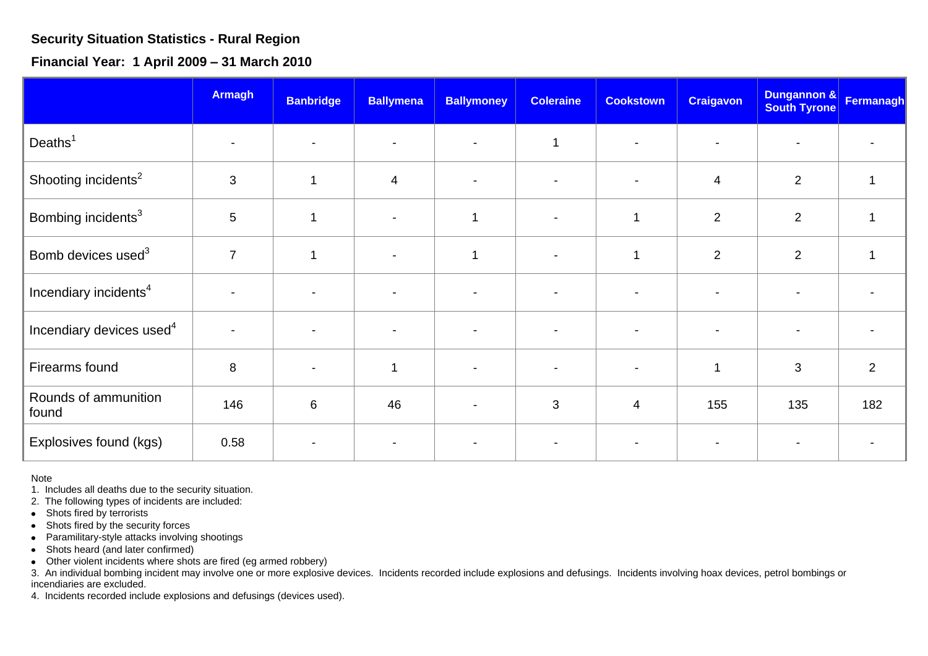## **Security Situation Statistics - Rural Region**

**Financial Year: 1 April 2009 – 31 March 2010**

|                                      | <b>Armagh</b>            | <b>Banbridge</b>         | <b>Ballymena</b>         | <b>Ballymoney</b>        | <b>Coleraine</b>         | <b>Cookstown</b> | <b>Craigavon</b>         | Dungannon &<br><b>South Tyrone</b> | Fermanagh |
|--------------------------------------|--------------------------|--------------------------|--------------------------|--------------------------|--------------------------|------------------|--------------------------|------------------------------------|-----------|
| Deaths $1$                           |                          | $\blacksquare$           |                          |                          | $\overline{\phantom{a}}$ |                  |                          | $\overline{\phantom{0}}$           |           |
| Shooting incidents <sup>2</sup>      | 3                        | 1                        | $\overline{4}$           |                          |                          |                  | $\overline{4}$           | $\overline{2}$                     |           |
| Bombing incidents <sup>3</sup>       | 5                        | 1                        | $\overline{\phantom{a}}$ | 1                        | $\blacksquare$           | 1                | $\overline{2}$           | $\overline{2}$                     |           |
| Bomb devices used <sup>3</sup>       | $\overline{7}$           | -1                       | $\blacksquare$           | -1                       | $\overline{\phantom{0}}$ | 1                | $\overline{2}$           | $\overline{2}$                     |           |
| Incendiary incidents <sup>4</sup>    |                          | $\blacksquare$           |                          |                          |                          |                  |                          |                                    |           |
| Incendiary devices used <sup>4</sup> | $\overline{\phantom{a}}$ | $\overline{\phantom{a}}$ | $\overline{\phantom{a}}$ | $\overline{\phantom{a}}$ | $\overline{\phantom{a}}$ |                  | $\overline{\phantom{a}}$ | $\overline{\phantom{a}}$           |           |
| Firearms found                       | 8                        | $\overline{\phantom{a}}$ | 1                        |                          | $\blacksquare$           |                  | $\mathbf 1$              | 3                                  | 2         |
| Rounds of ammunition<br>found        | 146                      | $6\phantom{1}6$          | 46                       |                          | $\mathbf{3}$             | $\overline{4}$   | 155                      | 135                                | 182       |
| Explosives found (kgs)               | 0.58                     |                          |                          |                          |                          |                  |                          |                                    |           |

Note

1. Includes all deaths due to the security situation.

2. The following types of incidents are included:

• Shots fired by terrorists

Shots fired by the security forces  $\bullet$ 

• Paramilitary-style attacks involving shootings

• Shots heard (and later confirmed)

Other violent incidents where shots are fired (eg armed robbery)

3. An individual bombing incident may involve one or more explosive devices. Incidents recorded include explosions and defusings. Incidents involving hoax devices, petrol bombings or incendiaries are excluded.

4. Incidents recorded include explosions and defusings (devices used).